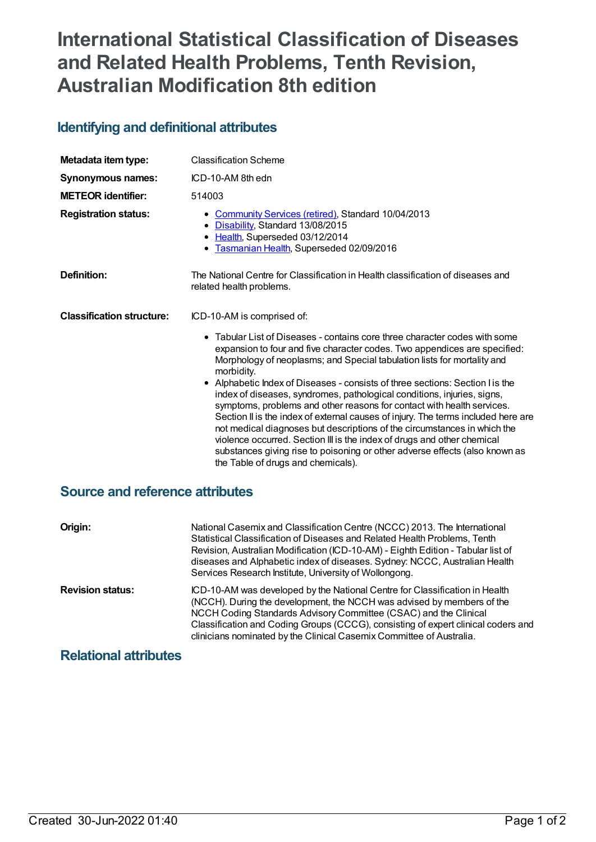# **International Statistical Classification of Diseases and Related Health Problems, Tenth Revision, Australian Modification 8th edition**

### **Identifying and definitional attributes**

| Metadata item type:              | <b>Classification Scheme</b>                                                                                                                                                                                                                                                                                                                                                                                                                                                                                                                                                                                                                                                                                                                                                                                                                            |
|----------------------------------|---------------------------------------------------------------------------------------------------------------------------------------------------------------------------------------------------------------------------------------------------------------------------------------------------------------------------------------------------------------------------------------------------------------------------------------------------------------------------------------------------------------------------------------------------------------------------------------------------------------------------------------------------------------------------------------------------------------------------------------------------------------------------------------------------------------------------------------------------------|
| Synonymous names:                | ICD-10-AM 8th edn                                                                                                                                                                                                                                                                                                                                                                                                                                                                                                                                                                                                                                                                                                                                                                                                                                       |
| <b>METEOR</b> identifier:        | 514003                                                                                                                                                                                                                                                                                                                                                                                                                                                                                                                                                                                                                                                                                                                                                                                                                                                  |
| <b>Registration status:</b>      | <b>Community Services (retired), Standard 10/04/2013</b><br>• Disability, Standard 13/08/2015<br>• Health, Superseded 03/12/2014<br>• Tasmanian Health, Superseded 02/09/2016                                                                                                                                                                                                                                                                                                                                                                                                                                                                                                                                                                                                                                                                           |
| Definition:                      | The National Centre for Classification in Health classification of diseases and<br>related health problems.                                                                                                                                                                                                                                                                                                                                                                                                                                                                                                                                                                                                                                                                                                                                             |
| <b>Classification structure:</b> | ICD-10-AM is comprised of:                                                                                                                                                                                                                                                                                                                                                                                                                                                                                                                                                                                                                                                                                                                                                                                                                              |
|                                  | • Tabular List of Diseases - contains core three character codes with some<br>expansion to four and five character codes. Two appendices are specified:<br>Morphology of neoplasms; and Special tabulation lists for mortality and<br>morbidity.<br>• Alphabetic Index of Diseases - consists of three sections: Section I is the<br>index of diseases, syndromes, pathological conditions, injuries, signs,<br>symptoms, problems and other reasons for contact with health services.<br>Section II is the index of external causes of injury. The terms included here are<br>not medical diagnoses but descriptions of the circumstances in which the<br>violence occurred. Section III is the index of drugs and other chemical<br>substances giving rise to poisoning or other adverse effects (also known as<br>the Table of drugs and chemicals). |

### **Source and reference attributes**

| Origin:                 | National Casemix and Classification Centre (NCCC) 2013. The International<br>Statistical Classification of Diseases and Related Health Problems, Tenth<br>Revision, Australian Modification (ICD-10-AM) - Eighth Edition - Tabular list of<br>diseases and Alphabetic index of diseases. Sydney: NCCC, Australian Health<br>Services Research Institute, University of Wollongong.     |
|-------------------------|----------------------------------------------------------------------------------------------------------------------------------------------------------------------------------------------------------------------------------------------------------------------------------------------------------------------------------------------------------------------------------------|
| <b>Revision status:</b> | ICD-10-AM was developed by the National Centre for Classification in Health<br>(NCCH). During the development, the NCCH was advised by members of the<br>NCCH Coding Standards Advisory Committee (CSAC) and the Clinical<br>Classification and Coding Groups (CCCG), consisting of expert clinical coders and<br>clinicians nominated by the Clinical Casemix Committee of Australia. |

## **Relational attributes**